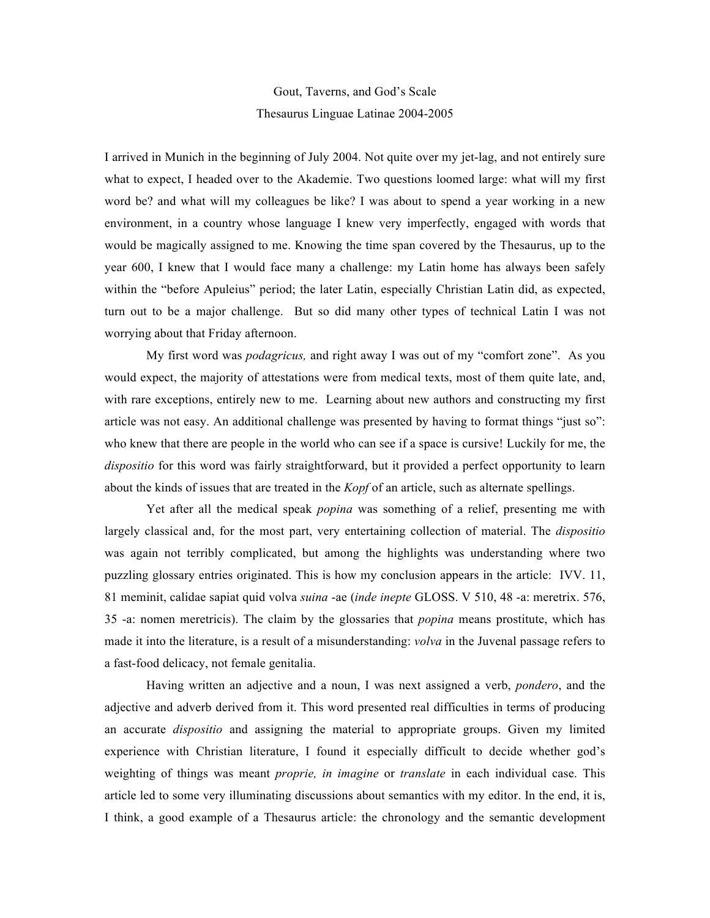## Gout, Taverns, and God's Scale Thesaurus Linguae Latinae 2004-2005

I arrived in Munich in the beginning of July 2004. Not quite over my jet-lag, and not entirely sure what to expect, I headed over to the Akademie. Two questions loomed large: what will my first word be? and what will my colleagues be like? I was about to spend a year working in a new environment, in a country whose language I knew very imperfectly, engaged with words that would be magically assigned to me. Knowing the time span covered by the Thesaurus, up to the year 600, I knew that I would face many a challenge: my Latin home has always been safely within the "before Apuleius" period; the later Latin, especially Christian Latin did, as expected, turn out to be a major challenge. But so did many other types of technical Latin I was not worrying about that Friday afternoon.

My first word was *podagricus,* and right away I was out of my "comfort zone". As you would expect, the majority of attestations were from medical texts, most of them quite late, and, with rare exceptions, entirely new to me. Learning about new authors and constructing my first article was not easy. An additional challenge was presented by having to format things "just so": who knew that there are people in the world who can see if a space is cursive! Luckily for me, the *dispositio* for this word was fairly straightforward, but it provided a perfect opportunity to learn about the kinds of issues that are treated in the *Kopf* of an article, such as alternate spellings.

Yet after all the medical speak *popina* was something of a relief, presenting me with largely classical and, for the most part, very entertaining collection of material. The *dispositio* was again not terribly complicated, but among the highlights was understanding where two puzzling glossary entries originated. This is how my conclusion appears in the article: IVV. 11, 81 meminit, calidae sapiat quid volva *suina* -ae (*inde inepte* GLOSS. V 510, 48 -a: meretrix. 576, 35 -a: nomen meretricis). The claim by the glossaries that *popina* means prostitute, which has made it into the literature, is a result of a misunderstanding: *volva* in the Juvenal passage refers to a fast-food delicacy, not female genitalia.

Having written an adjective and a noun, I was next assigned a verb, *pondero*, and the adjective and adverb derived from it. This word presented real difficulties in terms of producing an accurate *dispositio* and assigning the material to appropriate groups. Given my limited experience with Christian literature, I found it especially difficult to decide whether god's weighting of things was meant *proprie, in imagine* or *translate* in each individual case. This article led to some very illuminating discussions about semantics with my editor. In the end, it is, I think, a good example of a Thesaurus article: the chronology and the semantic development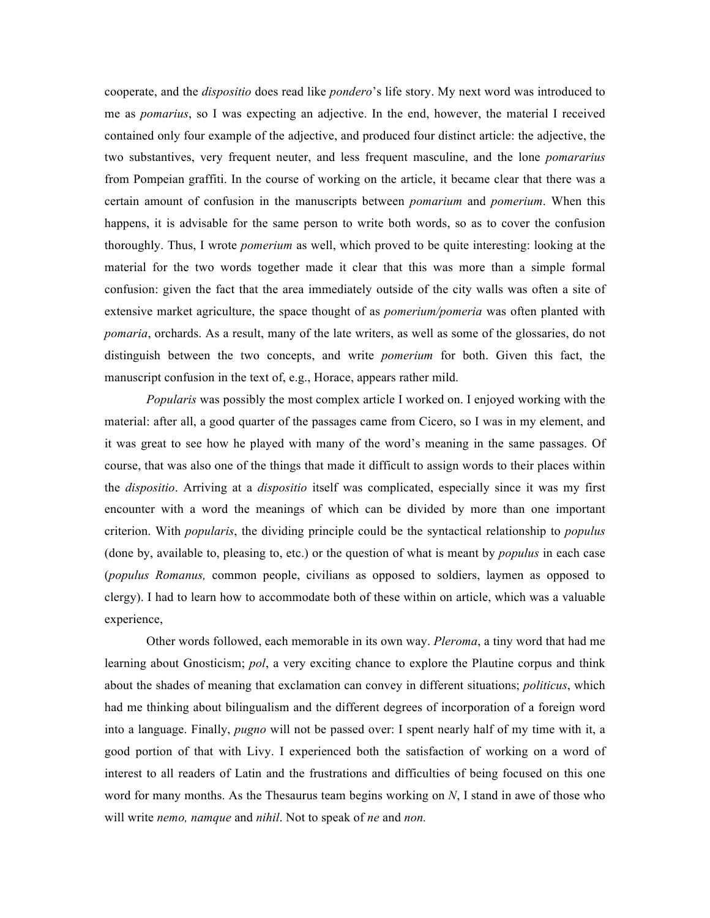cooperate, and the *dispositio* does read like *pondero*'s life story. My next word was introduced to me as *pomarius*, so I was expecting an adjective. In the end, however, the material I received contained only four example of the adjective, and produced four distinct article: the adjective, the two substantives, very frequent neuter, and less frequent masculine, and the lone *pomararius* from Pompeian graffiti. In the course of working on the article, it became clear that there was a certain amount of confusion in the manuscripts between *pomarium* and *pomerium*. When this happens, it is advisable for the same person to write both words, so as to cover the confusion thoroughly. Thus, I wrote *pomerium* as well, which proved to be quite interesting: looking at the material for the two words together made it clear that this was more than a simple formal confusion: given the fact that the area immediately outside of the city walls was often a site of extensive market agriculture, the space thought of as *pomerium/pomeria* was often planted with *pomaria*, orchards. As a result, many of the late writers, as well as some of the glossaries, do not distinguish between the two concepts, and write *pomerium* for both. Given this fact, the manuscript confusion in the text of, e.g., Horace, appears rather mild.

*Popularis* was possibly the most complex article I worked on. I enjoyed working with the material: after all, a good quarter of the passages came from Cicero, so I was in my element, and it was great to see how he played with many of the word's meaning in the same passages. Of course, that was also one of the things that made it difficult to assign words to their places within the *dispositio*. Arriving at a *dispositio* itself was complicated, especially since it was my first encounter with a word the meanings of which can be divided by more than one important criterion. With *popularis*, the dividing principle could be the syntactical relationship to *populus* (done by, available to, pleasing to, etc.) or the question of what is meant by *populus* in each case (*populus Romanus,* common people, civilians as opposed to soldiers, laymen as opposed to clergy). I had to learn how to accommodate both of these within on article, which was a valuable experience,

Other words followed, each memorable in its own way. *Pleroma*, a tiny word that had me learning about Gnosticism; *pol*, a very exciting chance to explore the Plautine corpus and think about the shades of meaning that exclamation can convey in different situations; *politicus*, which had me thinking about bilingualism and the different degrees of incorporation of a foreign word into a language. Finally, *pugno* will not be passed over: I spent nearly half of my time with it, a good portion of that with Livy. I experienced both the satisfaction of working on a word of interest to all readers of Latin and the frustrations and difficulties of being focused on this one word for many months. As the Thesaurus team begins working on *N*, I stand in awe of those who will write *nemo, namque* and *nihil*. Not to speak of *ne* and *non.*